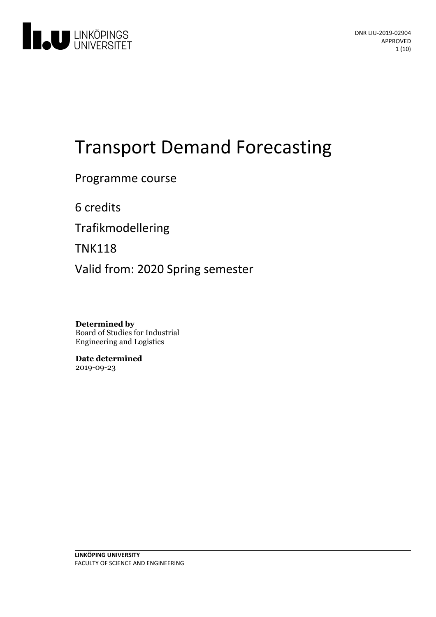

# Transport Demand Forecasting

Programme course

6 credits

Trafikmodellering

TNK118

Valid from: 2020 Spring semester

**Determined by** Board of Studies for Industrial Engineering and Logistics

**Date determined** 2019-09-23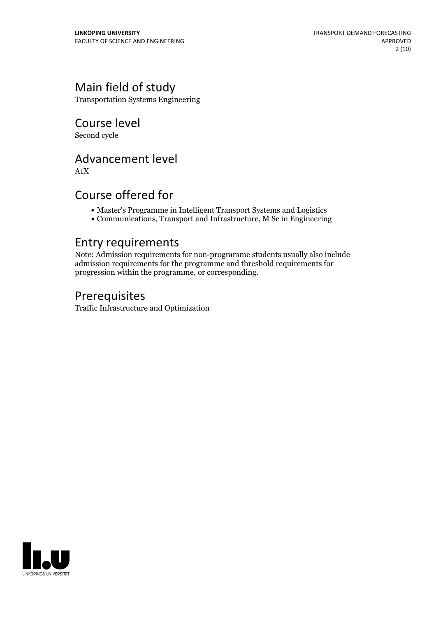# Main field of study

Transportation Systems Engineering

Course level Second cycle

# Advancement level

A1X

# Course offered for

- Master's Programme in Intelligent Transport Systems and Logistics
- Communications, Transport and Infrastructure, M Sc in Engineering

# Entry requirements

Note: Admission requirements for non-programme students usually also include admission requirements for the programme and threshold requirements for progression within the programme, or corresponding.

# Prerequisites

Traffic Infrastructure and Optimization

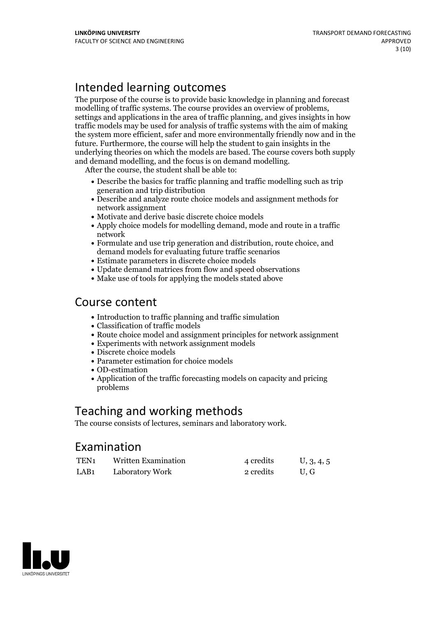# Intended learning outcomes

The purpose of the course is to provide basic knowledge in planning and forecast modelling of traffic systems. The course provides an overview of problems, settings and applications in the area of traffic planning, and gives insights in how traffic models may be used for analysis of traffic systems with the aim of making the system more efficient, safer and more environmentally friendly now and in the future. Furthermore, the course will help the student to gain insights in the underlying theories on which the models are based. The course covers both supply and demand modelling, and the focus is on demand modelling. After the course, the student shall be able to:

- Describe the basics for traffic planning and traffic modelling such as trip generation and trip distribution
- Describe and analyze route choice models and assignment methods for network assignment
- Motivate and derive basic discrete choice models
- Apply choice models for modelling demand, mode and route in a traffic network
- Formulate and use trip generation and distribution, route choice, and demand models for evaluating future traffic scenarios
- Estimate parameters in discrete choice models
- Update demand matrices from flow and speed observations
- Make use of tools for applying the models stated above

### Course content

- Introduction to traffic planning and traffic simulation
- Classification of traffic models
- Route choice model and assignment principles for network assignment
- Experiments with network assignment models
- Discrete choice models
- Parameter estimation for choice models
- OD-estimation
- Application of the traffic forecasting models on capacity and pricing problems

# Teaching and working methods

The course consists of lectures, seminars and laboratory work.

# Examination

| TEN <sub>1</sub> | <b>Written Examination</b> | 4 credits | U, 3, 4, 5 |
|------------------|----------------------------|-----------|------------|
| LAB <sub>1</sub> | Laboratory Work            | 2 credits | U.G        |

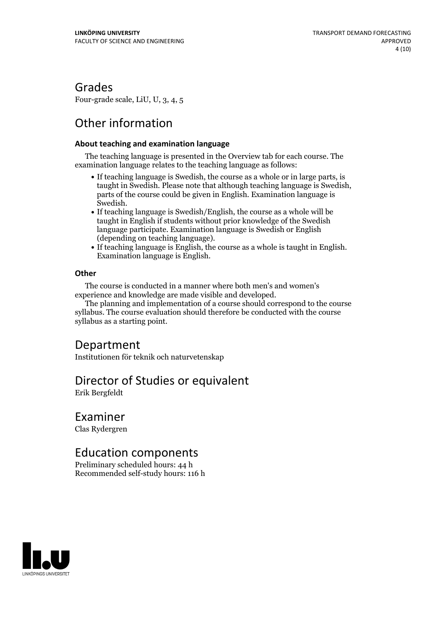# Grades

Four-grade scale, LiU, U, 3, 4, 5

# Other information

### **About teaching and examination language**

The teaching language is presented in the Overview tab for each course. The examination language relates to the teaching language as follows:

- If teaching language is Swedish, the course as a whole or in large parts, is taught in Swedish. Please note that although teaching language is Swedish, parts of the course could be given in English. Examination language is
- Swedish.<br>• If teaching language is Swedish/English, the course as a whole will be taught in English if students without prior knowledge of the Swedish language participate. Examination language is Swedish or English
- (depending on teaching language).<br>• If teaching language is English, the course as a whole is taught in English.<br>Examination language is English.

#### **Other**

The course is conducted in a manner where both men's and women's

The planning and implementation of a course should correspond to the course syllabus. The course evaluation should therefore be conducted with the course syllabus as a starting point.

# Department

Institutionen för teknik och naturvetenskap

# Director of Studies or equivalent

Erik Bergfeldt

# Examiner

Clas Rydergren

# Education components

Preliminary scheduled hours: 44 h Recommended self-study hours: 116 h

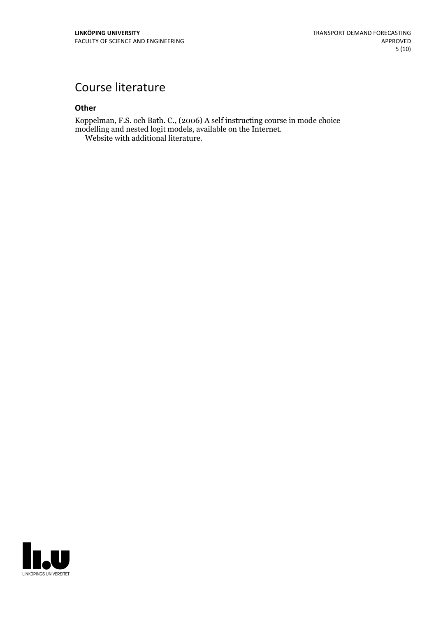# Course literature

#### **Other**

Koppelman, F.S. och Bath. C., (2006) A self instructing course in mode choice modelling and nested logit models, available on the Internet. Website with additional literature.

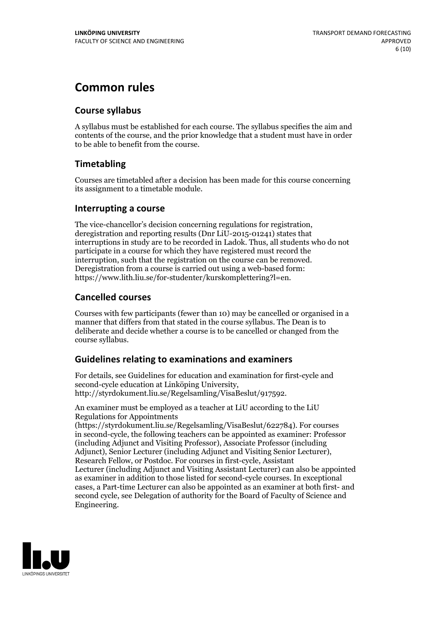# **Common rules**

### **Course syllabus**

A syllabus must be established for each course. The syllabus specifies the aim and contents of the course, and the prior knowledge that a student must have in order to be able to benefit from the course.

### **Timetabling**

Courses are timetabled after a decision has been made for this course concerning its assignment to a timetable module.

### **Interrupting a course**

The vice-chancellor's decision concerning regulations for registration, deregistration and reporting results (Dnr LiU-2015-01241) states that interruptions in study are to be recorded in Ladok. Thus, all students who do not participate in a course for which they have registered must record the interruption, such that the registration on the course can be removed. Deregistration from <sup>a</sup> course is carried outusing <sup>a</sup> web-based form: https://www.lith.liu.se/for-studenter/kurskomplettering?l=en.

### **Cancelled courses**

Courses with few participants (fewer than 10) may be cancelled or organised in a manner that differs from that stated in the course syllabus. The Dean is to deliberate and decide whether a course is to be cancelled or changed from the course syllabus.

### **Guidelines relatingto examinations and examiners**

For details, see Guidelines for education and examination for first-cycle and second-cycle education at Linköping University, http://styrdokument.liu.se/Regelsamling/VisaBeslut/917592.

An examiner must be employed as a teacher at LiU according to the LiU Regulations for Appointments

(https://styrdokument.liu.se/Regelsamling/VisaBeslut/622784). For courses in second-cycle, the following teachers can be appointed as examiner: Professor (including Adjunct and Visiting Professor), Associate Professor (including Adjunct), Senior Lecturer (including Adjunct and Visiting Senior Lecturer), Research Fellow, or Postdoc. For courses in first-cycle, Assistant Lecturer (including Adjunct and Visiting Assistant Lecturer) can also be appointed as examiner in addition to those listed for second-cycle courses. In exceptional cases, a Part-time Lecturer can also be appointed as an examiner at both first- and second cycle, see Delegation of authority for the Board of Faculty of Science and Engineering.

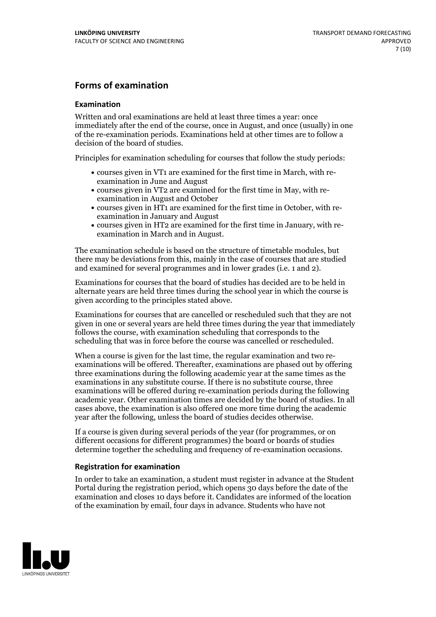### **Forms of examination**

#### **Examination**

Written and oral examinations are held at least three times a year: once immediately after the end of the course, once in August, and once (usually) in one of the re-examination periods. Examinations held at other times are to follow a decision of the board of studies.

Principles for examination scheduling for courses that follow the study periods:

- courses given in VT1 are examined for the first time in March, with re-examination in June and August
- courses given in VT2 are examined for the first time in May, with re-examination in August and October
- courses given in HT1 are examined for the first time in October, with re-examination in January and August
- courses given in HT2 are examined for the first time in January, with re-examination in March and in August.

The examination schedule is based on the structure of timetable modules, but there may be deviations from this, mainly in the case of courses that are studied and examined for several programmes and in lower grades (i.e. 1 and 2).

Examinations for courses that the board of studies has decided are to be held in alternate years are held three times during the school year in which the course is given according to the principles stated above.

Examinations for courses that are cancelled orrescheduled such that they are not given in one or several years are held three times during the year that immediately follows the course, with examination scheduling that corresponds to the scheduling that was in force before the course was cancelled or rescheduled.

When a course is given for the last time, the regular examination and two re-<br>examinations will be offered. Thereafter, examinations are phased out by offering three examinations during the following academic year at the same times as the examinations in any substitute course. If there is no substitute course, three examinations will be offered during re-examination periods during the following academic year. Other examination times are decided by the board of studies. In all cases above, the examination is also offered one more time during the academic year after the following, unless the board of studies decides otherwise.

If a course is given during several periods of the year (for programmes, or on different occasions for different programmes) the board or boards of studies determine together the scheduling and frequency of re-examination occasions.

#### **Registration for examination**

In order to take an examination, a student must register in advance at the Student Portal during the registration period, which opens 30 days before the date of the examination and closes 10 days before it. Candidates are informed of the location of the examination by email, four days in advance. Students who have not

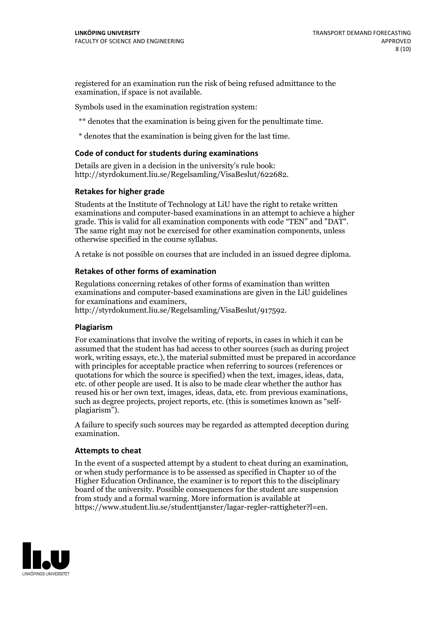registered for an examination run the risk of being refused admittance to the examination, if space is not available.

Symbols used in the examination registration system:

\*\* denotes that the examination is being given for the penultimate time.

\* denotes that the examination is being given for the last time.

#### **Code of conduct for students during examinations**

Details are given in a decision in the university's rule book: http://styrdokument.liu.se/Regelsamling/VisaBeslut/622682.

#### **Retakes for higher grade**

Students at the Institute of Technology at LiU have the right to retake written examinations and computer-based examinations in an attempt to achieve a higher grade. This is valid for all examination components with code "TEN" and "DAT". The same right may not be exercised for other examination components, unless otherwise specified in the course syllabus.

A retake is not possible on courses that are included in an issued degree diploma.

#### **Retakes of other forms of examination**

Regulations concerning retakes of other forms of examination than written examinations and computer-based examinations are given in the LiU guidelines

http://styrdokument.liu.se/Regelsamling/VisaBeslut/917592.

#### **Plagiarism**

For examinations that involve the writing of reports, in cases in which it can be assumed that the student has had access to other sources (such as during project work, writing essays, etc.), the material submitted must be prepared in accordance with principles for acceptable practice when referring to sources (references or quotations for which the source is specified) when the text, images, ideas, data,  $\vec{e}$  etc. of other people are used. It is also to be made clear whether the author has reused his or her own text, images, ideas, data, etc. from previous examinations, such as degree projects, project reports, etc. (this is sometimes known as "self- plagiarism").

A failure to specify such sources may be regarded as attempted deception during examination.

#### **Attempts to cheat**

In the event of <sup>a</sup> suspected attempt by <sup>a</sup> student to cheat during an examination, or when study performance is to be assessed as specified in Chapter <sup>10</sup> of the Higher Education Ordinance, the examiner is to report this to the disciplinary board of the university. Possible consequences for the student are suspension from study and a formal warning. More information is available at https://www.student.liu.se/studenttjanster/lagar-regler-rattigheter?l=en.

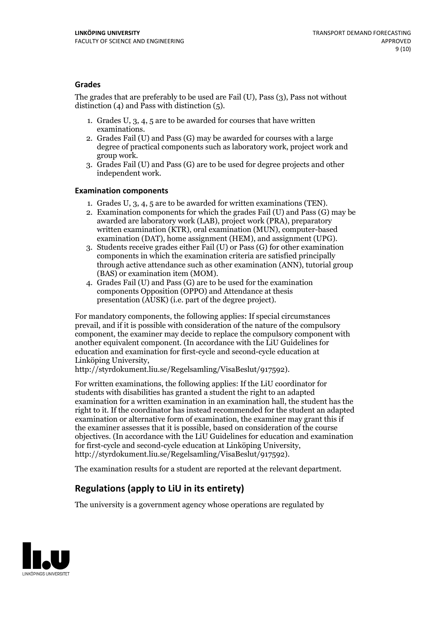### **Grades**

The grades that are preferably to be used are Fail (U), Pass (3), Pass not without distinction  $(4)$  and Pass with distinction  $(5)$ .

- 1. Grades U, 3, 4, 5 are to be awarded for courses that have written
- examinations. 2. Grades Fail (U) and Pass (G) may be awarded for courses with <sup>a</sup> large degree of practical components such as laboratory work, project work and group work. 3. Grades Fail (U) and Pass (G) are to be used for degree projects and other
- independent work.

#### **Examination components**

- 
- 1. Grades U, 3, 4, <sup>5</sup> are to be awarded for written examinations (TEN). 2. Examination components for which the grades Fail (U) and Pass (G) may be awarded are laboratory work (LAB), project work (PRA), preparatory written examination (KTR), oral examination (MUN), computer-based
- examination (DAT), home assignment (HEM), and assignment (UPG). 3. Students receive grades either Fail (U) or Pass (G) for other examination components in which the examination criteria are satisfied principally through active attendance such as other examination (ANN), tutorial group (BAS) or examination item (MOM). 4. Grades Fail (U) and Pass (G) are to be used for the examination
- components Opposition (OPPO) and Attendance at thesis presentation (AUSK) (i.e. part of the degree project).

For mandatory components, the following applies: If special circumstances prevail, and if it is possible with consideration of the nature of the compulsory component, the examiner may decide to replace the compulsory component with another equivalent component. (In accordance with the LiU Guidelines for education and examination for first-cycle and second-cycle education at Linköping University, http://styrdokument.liu.se/Regelsamling/VisaBeslut/917592).

For written examinations, the following applies: If the LiU coordinator for students with disabilities has granted a student the right to an adapted examination for a written examination in an examination hall, the student has the right to it. If the coordinator has instead recommended for the student an adapted examination or alternative form of examination, the examiner may grant this if the examiner assesses that it is possible, based on consideration of the course objectives. (In accordance with the LiU Guidelines for education and examination for first-cycle and second-cycle education at Linköping University, http://styrdokument.liu.se/Regelsamling/VisaBeslut/917592).

The examination results for a student are reported at the relevant department.

### **Regulations (applyto LiU in its entirety)**

The university is a government agency whose operations are regulated by